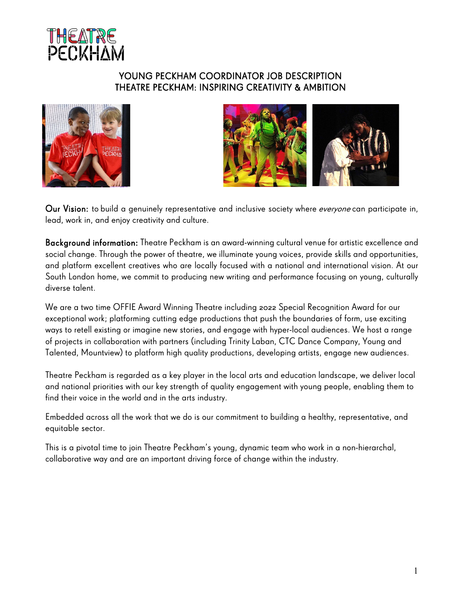

## YOUNG PECKHAM COORDINATOR JOB DESCRIPTION THEATRE PECKHAM: INSPIRING CREATIVITY & AMBITION





Our Vision: to build a genuinely representative and inclusive society where *everyone* can participate in, lead, work in, and enjoy creativity and culture.

Background information: Theatre Peckham is an award-winning cultural venue for artistic excellence and social change. Through the power of theatre, we illuminate young voices, provide skills and opportunities, and platform excellent creatives who are locally focused with a national and international vision. At our South London home, we commit to producing new writing and performance focusing on young, culturally diverse talent.

We are a two time OFFIE Award Winning Theatre including 2022 Special Recognition Award for our exceptional work; platforming cutting edge productions that push the boundaries of form, use exciting ways to retell existing or imagine new stories, and engage with hyper-local audiences. We host a range of projects in collaboration with partners (including Trinity Laban, CTC Dance Company, Young and Talented, Mountview) to platform high quality productions, developing artists, engage new audiences.

Theatre Peckham is regarded as a key player in the local arts and education landscape, we deliver local and national priorities with our key strength of quality engagement with young people, enabling them to find their voice in the world and in the arts industry.

Embedded across all the work that we do is our commitment to building a healthy, representative, and equitable sector.

This is a pivotal time to join Theatre Peckham's young, dynamic team who work in a non-hierarchal, collaborative way and are an important driving force of change within the industry.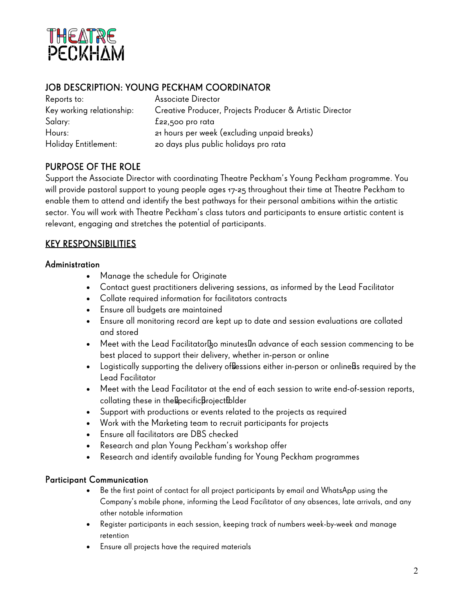

## JOB DESCRIPTION: YOUNG PECKHAM COORDINATOR

| Reports to:               | <b>Associate Director</b>                                |
|---------------------------|----------------------------------------------------------|
| Key working relationship: | Creative Producer, Projects Producer & Artistic Director |
| Salary:                   | $E$ 22,500 pro rata                                      |
| Hours:                    | 21 hours per week (excluding unpaid breaks)              |
| Holiday Entitlement:      | zo days plus public holidays pro rata                    |

# PURPOSE OF THE ROLE

Support the Associate Director with coordinating Theatre Peckham's Young Peckham programme. You will provide pastoral support to young people ages 17-25 throughout their time at Theatre Peckham to enable them to attend and identify the best pathways for their personal ambitions within the artistic sector. You will work with Theatre Peckham's class tutors and participants to ensure artistic content is relevant, engaging and stretches the potential of participants.

## KEY RESPONSIBILITIES

#### Administration

- Manage the schedule for Originate
- Contact guest practitioners delivering sessions, as informed by the Lead Facilitator
- Collate required information for facilitators contracts
- Ensure all budgets are maintained
- Ensure all monitoring record are kept up to date and session evaluations are collated and stored
- Meet with the Lead Facilitator  30 minutes  in advance of each session commencing to be best placed to support their delivery, whether in-person or online
- Logistically supporting the delivery ofsessions either in-person or onlineas required by the Lead Facilitator
- Meet with the Lead Facilitator at the end of each session to write end-of-session reports, collating these in the specific project folder
- Support with productions or events related to the projects as required
- Work with the Marketing team to recruit participants for projects
- Ensure all facilitators are DBS checked
- Research and plan Young Peckham's workshop offer
- Research and identify available funding for Young Peckham programmes

#### Participant Communication

- Be the first point of contact for all project participants by email and WhatsApp using the Company's mobile phone, informing the Lead Facilitator of any absences, late arrivals, and any other notable information
- Register participants in each session, keeping track of numbers week-by-week and manage retention
- Ensure all projects have the required materials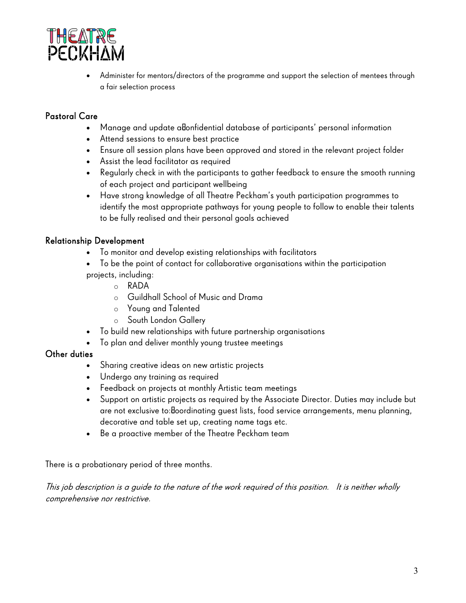

• Administer for mentors/directors of the programme and support the selection of mentees through a fair selection process

## Pastoral Care

- Manage and update a confidential database of participants' personal information
- Attend sessions to ensure best practice
- Ensure all session plans have been approved and stored in the relevant project folder
- Assist the lead facilitator as required
- Regularly check in with the participants to gather feedback to ensure the smooth running of each project and participant wellbeing
- Have strong knowledge of all Theatre Peckham's youth participation programmes to identify the most appropriate pathways for young people to follow to enable their talents to be fully realised and their personal goals achieved

## Relationship Development

- To monitor and develop existing relationships with facilitators
- To be the point of contact for collaborative organisations within the participation projects, including:
	- o RADA
	- o Guildhall School of Music and Drama
	- o Young and Talented
	- o South London Gallery
- To build new relationships with future partnership organisations
- To plan and deliver monthly young trustee meetings

## Other duties

- Sharing creative ideas on new artistic projects
- Undergo any training as required
- Feedback on projects at monthly Artistic team meetings
- Support on artistic projects as required by the Associate Director. Duties may include but are not exclusive to: coordinating guest lists, food service arrangements, menu planning, decorative and table set up, creating name tags etc.
- Be a proactive member of the Theatre Peckham team

There is a probationary period of three months.

This job description is a guide to the nature of the work required of this position. It is neither wholly comprehensive nor restrictive.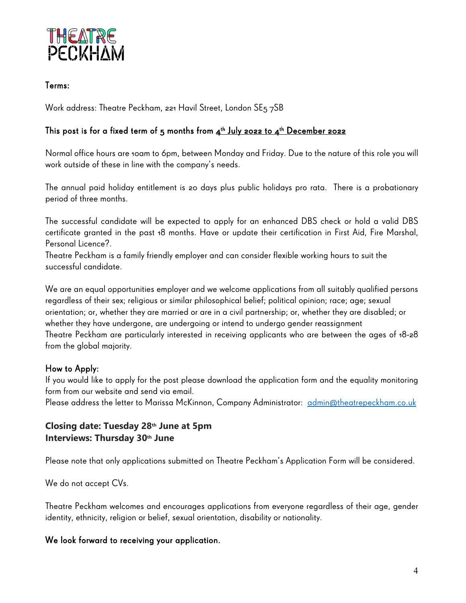

### Terms:

Work address: Theatre Peckham, 221 Havil Street, London SE5 7SB

### This post is for a fixed term of 5 months from  $4^{th}$  July 2022 to  $4^{th}$  December 2022

Normal office hours are 10am to 6pm, between Monday and Friday. Due to the nature of this role you will work outside of these in line with the company's needs.

The annual paid holiday entitlement is 20 days plus public holidays pro rata. There is a probationary period of three months.

The successful candidate will be expected to apply for an enhanced DBS check or hold a valid DBS certificate granted in the past 18 months. Have or update their certification in First Aid, Fire Marshal, Personal Licence?.

Theatre Peckham is a family friendly employer and can consider flexible working hours to suit the successful candidate.

We are an equal opportunities employer and we welcome applications from all suitably qualified persons regardless of their sex; religious or similar philosophical belief; political opinion; race; age; sexual orientation; or, whether they are married or are in a civil partnership; or, whether they are disabled; or whether they have undergone, are undergoing or intend to undergo gender reassignment Theatre Peckham are particularly interested in receiving applicants who are between the ages of 18-28 from the global majority.

#### How to Apply:

If you would like to apply for the post please download the application form and the equality monitoring form from our website and send via email.

Please address the letter to Marissa McKinnon, Company Administrator: [admin@theatrepeckham.co.uk](mailto:admin@theatrepeckham.co.uk) 

## **Closing date: Tuesday 28th June at 5pm Interviews: Thursday 30th June**

Please note that only applications submitted on Theatre Peckham's Application Form will be considered.

We do not accept CVs.

Theatre Peckham welcomes and encourages applications from everyone regardless of their age, gender identity, ethnicity, religion or belief, sexual orientation, disability or nationality.

#### We look forward to receiving your application.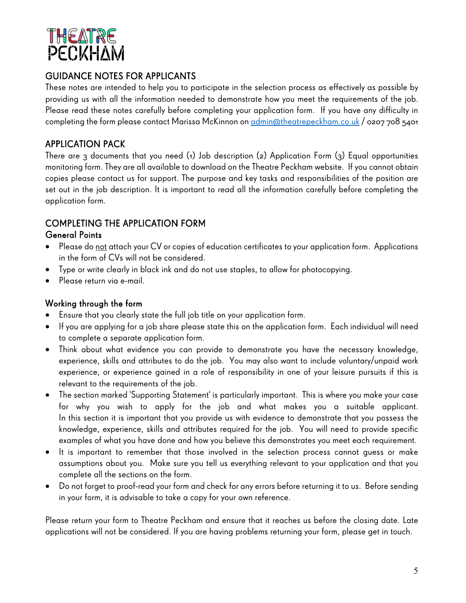

# GUIDANCE NOTES FOR APPLICANTS

These notes are intended to help you to participate in the selection process as effectively as possible by providing us with all the information needed to demonstrate how you meet the requirements of the job. Please read these notes carefully before completing your application form. If you have any difficulty in completing the form please contact Marissa McKinnon o[n admin@theatrepeckham.co.uk](mailto:admin@theatrepeckham.co.uk)/0207708 5401

## APPLICATION PACK

There are 3 documents that you need (1) Job description (2) Application Form (3) Equal opportunities monitoring form. They are all available to download on the Theatre Peckham website. If you cannot obtain copies please contact us for support. The purpose and key tasks and responsibilities of the position are set out in the job description. It is important to read all the information carefully before completing the application form.

# COMPLETING THE APPLICATION FORM

## General Points

- Please do not attach your CV or copies of education certificates to your application form. Applications in the form of CVs will not be considered.
- Type or write clearly in black ink and do not use staples, to allow for photocopying.
- Please return via e-mail.

## Working through the form

- Ensure that you clearly state the full job title on your application form.
- If you are applying for a job share please state this on the application form. Each individual will need to complete a separate application form.
- Think about what evidence you can provide to demonstrate you have the necessary knowledge, experience, skills and attributes to do the job. You may also want to include voluntary/unpaid work experience, or experience gained in a role of responsibility in one of your leisure pursuits if this is relevant to the requirements of the job.
- The section marked 'Supporting Statement' is particularly important. This is where you make your case for why you wish to apply for the job and what makes you a suitable applicant. In this section it is important that you provide us with evidence to demonstrate that you possess the knowledge, experience, skills and attributes required for the job. You will need to provide specific examples of what you have done and how you believe this demonstrates you meet each requirement.
- It is important to remember that those involved in the selection process cannot guess or make assumptions about you. Make sure you tell us everything relevant to your application and that you complete all the sections on the form.
- Do not forget to proof-read your form and check for any errors before returning it to us. Before sending in your form, it is advisable to take a copy for your own reference.

Please return your form to Theatre Peckham and ensure that it reaches us before the closing date. Late applications will not be considered. If you are having problems returning your form, please get in touch.